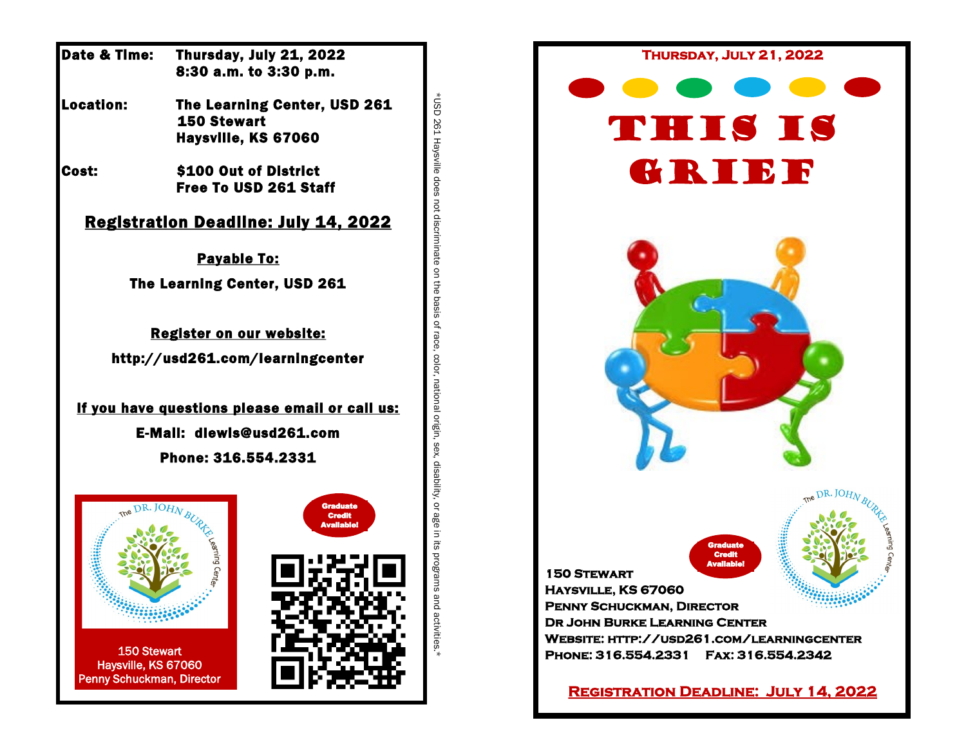| Date & Time:                                                                  |                                                | Thursday, July 21, 2022<br>8:30 a.m. to 3:30 p.m.    |
|-------------------------------------------------------------------------------|------------------------------------------------|------------------------------------------------------|
| Location:                                                                     | <b>150 Stewart</b>                             | The Learning Center, USD 261<br>Haysville, KS 67060  |
| Cost:                                                                         | \$100 Out of District<br>Free To USD 261 Staff |                                                      |
|                                                                               |                                                | <b>Registration Deadline: July 14, 2022</b>          |
|                                                                               |                                                | <b>Payable To:</b>                                   |
|                                                                               |                                                | The Learning Center, USD 261                         |
|                                                                               |                                                | Register on our website:                             |
|                                                                               |                                                | http://usd261.com/learningcenter                     |
|                                                                               |                                                | If you have questions please email or call us:       |
|                                                                               |                                                | E-Mail: dlewis@usd261.com                            |
|                                                                               |                                                | Phone: 316.554.2331                                  |
|                                                                               | OHN BURK                                       | <b>Graduate</b><br><b>Credit</b><br><b>Avaliable</b> |
|                                                                               | earning Cent                                   |                                                      |
| <b>150 Stewart</b><br>Haysville, KS 67060<br><b>Penny Schuckman, Director</b> |                                                |                                                      |

\*USD 261 Haysville does not discriminate on the basis of race, color, national origin, sex, disability, or age in its programs and activities.\*

\*USD 261 Haysville does not discriminate on the basis of race, color, national origin, sex, disability, or age in its programs and activities.

. De Co